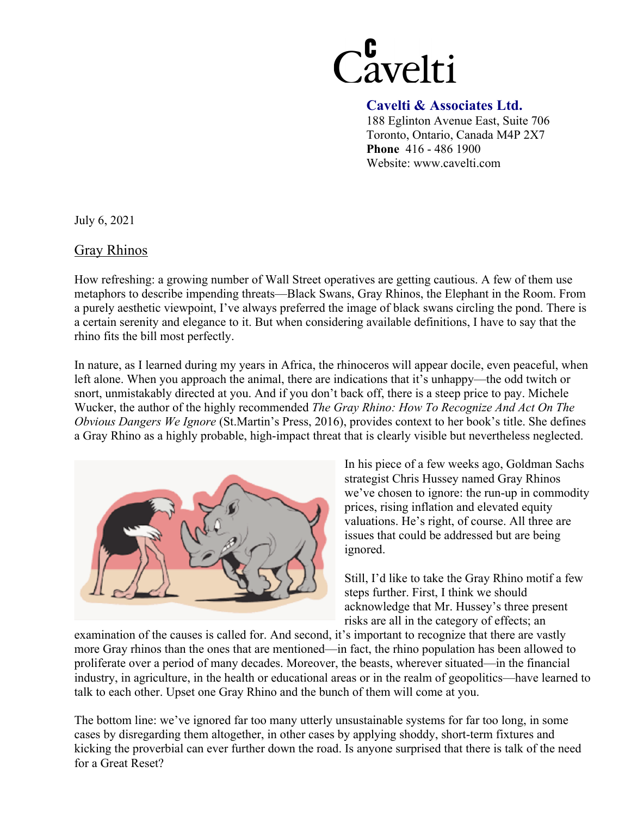

 **Cavelti & Associates Ltd.**  188 Eglinton Avenue East, Suite 706 Toronto, Ontario, Canada M4P 2X7 **Phone** 416 - 486 1900 Website: www.cavelti.com

July 6, 2021

## Gray Rhinos

How refreshing: a growing number of Wall Street operatives are getting cautious. A few of them use metaphors to describe impending threats—Black Swans, Gray Rhinos, the Elephant in the Room. From a purely aesthetic viewpoint, I've always preferred the image of black swans circling the pond. There is a certain serenity and elegance to it. But when considering available definitions, I have to say that the rhino fits the bill most perfectly.

In nature, as I learned during my years in Africa, the rhinoceros will appear docile, even peaceful, when left alone. When you approach the animal, there are indications that it's unhappy—the odd twitch or snort, unmistakably directed at you. And if you don't back off, there is a steep price to pay. Michele Wucker, the author of the highly recommended *The Gray Rhino: How To Recognize And Act On The Obvious Dangers We Ignore* (St.Martin's Press, 2016), provides context to her book's title. She defines a Gray Rhino as a highly probable, high-impact threat that is clearly visible but nevertheless neglected.



In his piece of a few weeks ago, Goldman Sachs strategist Chris Hussey named Gray Rhinos we've chosen to ignore: the run-up in commodity prices, rising inflation and elevated equity valuations. He's right, of course. All three are issues that could be addressed but are being ignored.

Still, I'd like to take the Gray Rhino motif a few steps further. First, I think we should acknowledge that Mr. Hussey's three present risks are all in the category of effects; an

examination of the causes is called for. And second, it's important to recognize that there are vastly more Gray rhinos than the ones that are mentioned—in fact, the rhino population has been allowed to proliferate over a period of many decades. Moreover, the beasts, wherever situated—in the financial industry, in agriculture, in the health or educational areas or in the realm of geopolitics—have learned to talk to each other. Upset one Gray Rhino and the bunch of them will come at you.

The bottom line: we've ignored far too many utterly unsustainable systems for far too long, in some cases by disregarding them altogether, in other cases by applying shoddy, short-term fixtures and kicking the proverbial can ever further down the road. Is anyone surprised that there is talk of the need for a Great Reset?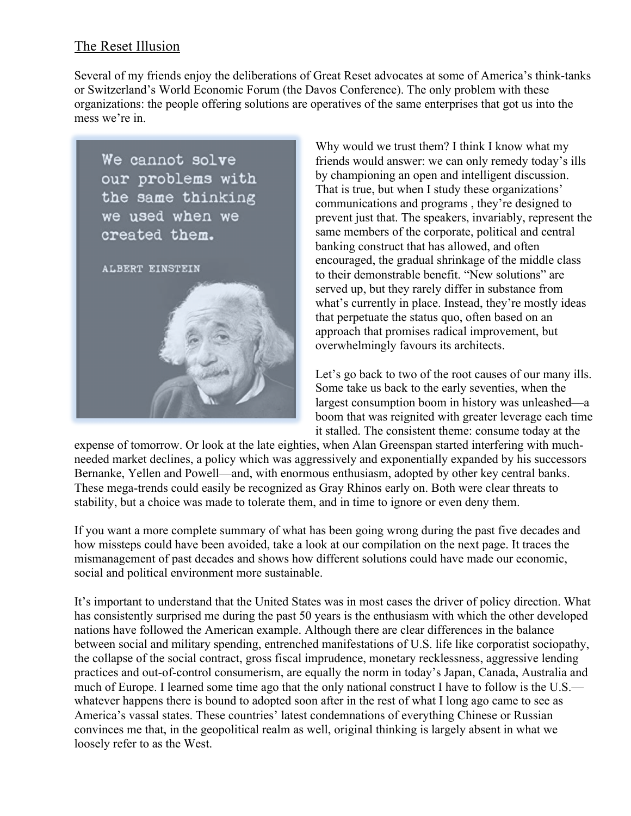## The Reset Illusion

Several of my friends enjoy the deliberations of Great Reset advocates at some of America's think-tanks or Switzerland's World Economic Forum (the Davos Conference). The only problem with these organizations: the people offering solutions are operatives of the same enterprises that got us into the mess we're in.



Why would we trust them? I think I know what my friends would answer: we can only remedy today's ills by championing an open and intelligent discussion. That is true, but when I study these organizations' communications and programs , they're designed to prevent just that. The speakers, invariably, represent the same members of the corporate, political and central banking construct that has allowed, and often encouraged, the gradual shrinkage of the middle class to their demonstrable benefit. "New solutions" are served up, but they rarely differ in substance from what's currently in place. Instead, they're mostly ideas that perpetuate the status quo, often based on an approach that promises radical improvement, but overwhelmingly favours its architects.

Let's go back to two of the root causes of our many ills. Some take us back to the early seventies, when the largest consumption boom in history was unleashed—a boom that was reignited with greater leverage each time it stalled. The consistent theme: consume today at the

expense of tomorrow. Or look at the late eighties, when Alan Greenspan started interfering with muchneeded market declines, a policy which was aggressively and exponentially expanded by his successors Bernanke, Yellen and Powell—and, with enormous enthusiasm, adopted by other key central banks. These mega-trends could easily be recognized as Gray Rhinos early on. Both were clear threats to stability, but a choice was made to tolerate them, and in time to ignore or even deny them.

If you want a more complete summary of what has been going wrong during the past five decades and how missteps could have been avoided, take a look at our compilation on the next page. It traces the mismanagement of past decades and shows how different solutions could have made our economic, social and political environment more sustainable.

It's important to understand that the United States was in most cases the driver of policy direction. What has consistently surprised me during the past 50 years is the enthusiasm with which the other developed nations have followed the American example. Although there are clear differences in the balance between social and military spending, entrenched manifestations of U.S. life like corporatist sociopathy, the collapse of the social contract, gross fiscal imprudence, monetary recklessness, aggressive lending practices and out-of-control consumerism, are equally the norm in today's Japan, Canada, Australia and much of Europe. I learned some time ago that the only national construct I have to follow is the U.S. whatever happens there is bound to adopted soon after in the rest of what I long ago came to see as America's vassal states. These countries' latest condemnations of everything Chinese or Russian convinces me that, in the geopolitical realm as well, original thinking is largely absent in what we loosely refer to as the West.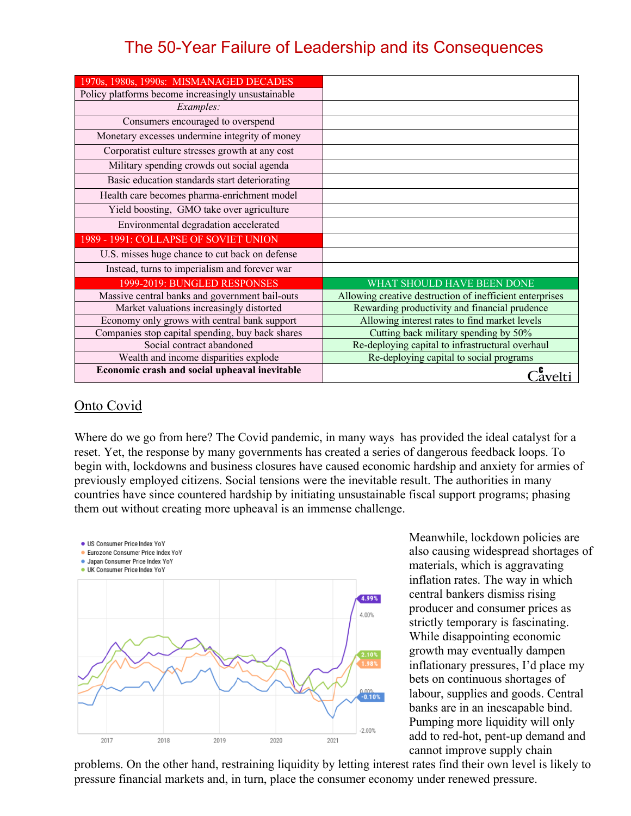## The 50-Year Failure of Leadership and its Consequences

| 1970s, 1980s, 1990s: MISMANAGED DECADES            |                                                          |
|----------------------------------------------------|----------------------------------------------------------|
| Policy platforms become increasingly unsustainable |                                                          |
| Examples:                                          |                                                          |
| Consumers encouraged to overspend                  |                                                          |
| Monetary excesses undermine integrity of money     |                                                          |
| Corporatist culture stresses growth at any cost    |                                                          |
| Military spending crowds out social agenda         |                                                          |
| Basic education standards start deteriorating      |                                                          |
| Health care becomes pharma-enrichment model        |                                                          |
| Yield boosting, GMO take over agriculture          |                                                          |
| Environmental degradation accelerated              |                                                          |
| 1989 - 1991: COLLAPSE OF SOVIET UNION              |                                                          |
| U.S. misses huge chance to cut back on defense     |                                                          |
| Instead, turns to imperialism and forever war      |                                                          |
| 1999-2019: BUNGLED RESPONSES                       | WHAT SHOULD HAVE BEEN DONE                               |
| Massive central banks and government bail-outs     | Allowing creative destruction of inefficient enterprises |
| Market valuations increasingly distorted           | Rewarding productivity and financial prudence            |
| Economy only grows with central bank support       | Allowing interest rates to find market levels            |
| Companies stop capital spending, buy back shares   | Cutting back military spending by 50%                    |
| Social contract abandoned                          | Re-deploying capital to infrastructural overhaul         |
| Wealth and income disparities explode              | Re-deploying capital to social programs                  |
| Economic crash and social upheaval inevitable      | .ăvelti                                                  |

## Onto Covid

Where do we go from here? The Covid pandemic, in many ways has provided the ideal catalyst for a reset. Yet, the response by many governments has created a series of dangerous feedback loops. To begin with, lockdowns and business closures have caused economic hardship and anxiety for armies of previously employed citizens. Social tensions were the inevitable result. The authorities in many countries have since countered hardship by initiating unsustainable fiscal support programs; phasing them out without creating more upheaval is an immense challenge.



Meanwhile, lockdown policies are also causing widespread shortages of materials, which is aggravating inflation rates. The way in which central bankers dismiss rising producer and consumer prices as strictly temporary is fascinating. While disappointing economic growth may eventually dampen inflationary pressures, I'd place my bets on continuous shortages of labour, supplies and goods. Central banks are in an inescapable bind. Pumping more liquidity will only add to red-hot, pent-up demand and cannot improve supply chain

problems. On the other hand, restraining liquidity by letting interest rates find their own level is likely to pressure financial markets and, in turn, place the consumer economy under renewed pressure.